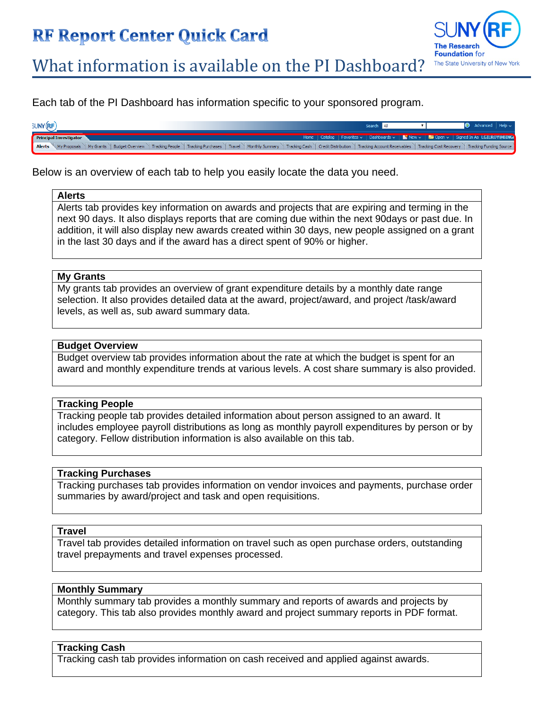# **RF Report Center Quick Card**



What information is available on the PI Dashboard?

Each tab of the PI Dashboard has information specific to your sponsored program.

| <b>SUNY (RF)</b> |                        |  |  |  |  | Search                                                                                                                                                                                                                        |  | $\bullet$ Advanced   Help $\backsim$ |  |
|------------------|------------------------|--|--|--|--|-------------------------------------------------------------------------------------------------------------------------------------------------------------------------------------------------------------------------------|--|--------------------------------------|--|
|                  | Principal Investigator |  |  |  |  | Home   Catalog   Favorites $\sim$   Dashboards $\sim$   $\sim$ New $\sim$   $\approx$ Open $\sim$   Signed In As LGILROY@BING                                                                                                 |  |                                      |  |
| <b>Alerts</b>    |                        |  |  |  |  | Ny Proposals \ My Grants \ Budget Overview \ Tracking People \ Tracking Purchases \ Travel \ Monthly Summary \ Tracking Cash \ Credit Distribution \ Tracking Account Receivables \ Tracking Cost Recovery \ Tracking Funding |  |                                      |  |

Below is an overview of each tab to help you easily locate the data you need.

#### **Alerts**

Alerts tab provides key information on awards and projects that are expiring and terming in the next 90 days. It also displays reports that are coming due within the next 90days or past due. In addition, it will also display new awards created within 30 days, new people assigned on a grant in the last 30 days and if the award has a direct spent of 90% or higher.

#### **My Grants**

My grants tab provides an overview of grant expenditure details by a monthly date range selection. It also provides detailed data at the award, project/award, and project /task/award levels, as well as, sub award summary data.

### **Budget Overview**

Budget overview tab provides information about the rate at which the budget is spent for an award and monthly expenditure trends at various levels. A cost share summary is also provided.

#### **Tracking People**

Tracking people tab provides detailed information about person assigned to an award. It includes employee payroll distributions as long as monthly payroll expenditures by person or by category. Fellow distribution information is also available on this tab.

#### **Tracking Purchases**

Tracking purchases tab provides information on vendor invoices and payments, purchase order summaries by award/project and task and open requisitions.

#### **Travel**

Travel tab provides detailed information on travel such as open purchase orders, outstanding travel prepayments and travel expenses processed.

#### **Monthly Summary**

Monthly summary tab provides a monthly summary and reports of awards and projects by category. This tab also provides monthly award and project summary reports in PDF format.

#### **Tracking Cash**

Tracking cash tab provides information on cash received and applied against awards.